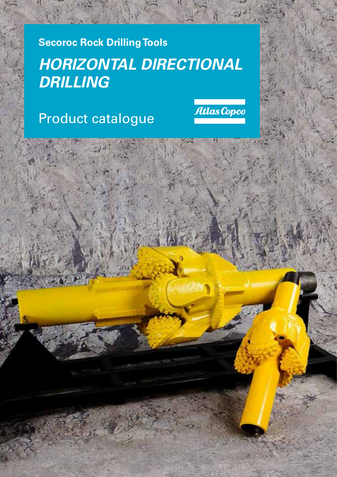**Secoroc Rock Drilling Tools**

# *HORIZONTAL DIRECTIONAL DRILLING*

# Product catalogue

Atlas Copco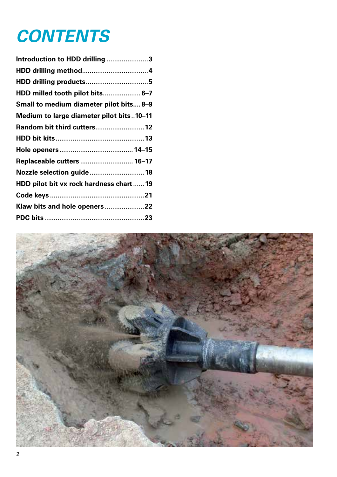# *CONTENTS*

| Introduction to HDD drilling 3           |
|------------------------------------------|
|                                          |
|                                          |
| HDD milled tooth pilot bits 6–7          |
| Small to medium diameter pilot bits 8-9  |
| Medium to large diameter pilot bits10-11 |
| Random bit third cutters 12              |
|                                          |
|                                          |
| Replaceable cutters  16-17               |
| Nozzle selection guide  18               |
| HDD pilot bit vx rock hardness chart 19  |
|                                          |
|                                          |
|                                          |

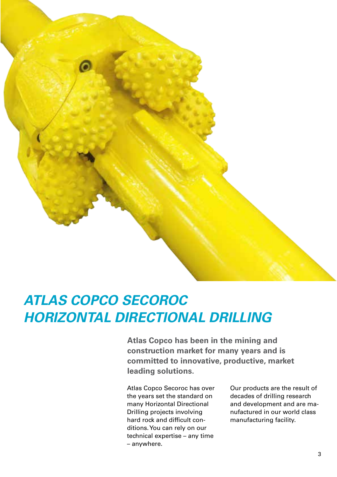

### *ATLAS COPCO SECOROC HORIZONTAL DIRECTIONAL DRILLING*

**Atlas Copco has been in the mining and construction market for many years and is committed to innovative, productive, market leading solutions.**

Atlas Copco Secoroc has over the years set the standard on many Horizontal Directional Drilling projects involving hard rock and difficult conditions. You can rely on our technical expertise – any time – anywhere.

Our products are the result of decades of drilling research and development and are manufactured in our world class manufacturing facility.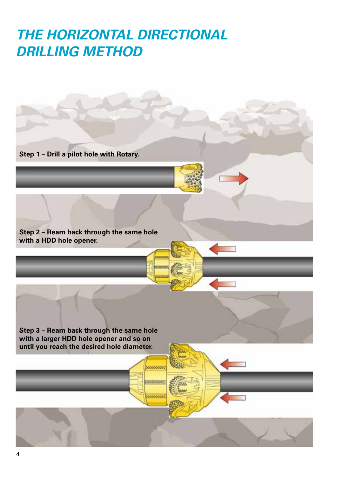## *THE HORIZONTAL DIRECTIONAL DRILLING METHOD*

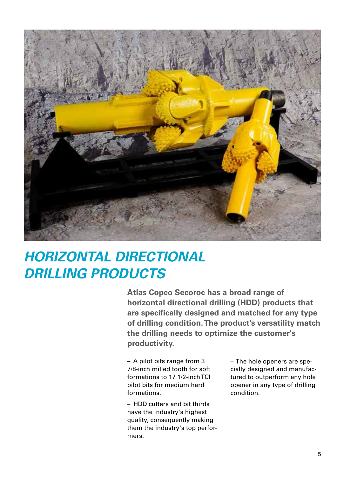

# *HORIZONTAL DIRECTIONAL DRILLING PRODUCTS*

**Atlas Copco Secoroc has a broad range of horizontal directional drilling (HDD) products that are specifically designed and matched for any type of drilling condition. The product's versatility match the drilling needs to optimize the customer's productivity.** 

– A pilot bits range from 3 7/8-inch milled tooth for soft formations to 17 1/2-inch TCI pilot bits for medium hard formations.

– HDD cutters and bit thirds have the industry's highest quality, consequently making them the industry's top performers.

– The hole openers are specially designed and manufactured to outperform any hole opener in any type of drilling condition.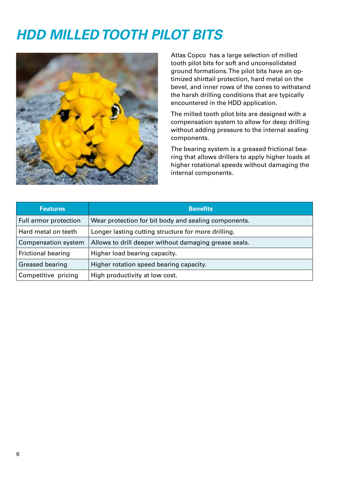# *HDD MILLED TOOTH PILOT BITS*



Atlas Copco has a large selection of milled tooth pilot bits for soft and unconsolidated ground formations. The pilot bits have an optimized shirttail protection, hard metal on the bevel, and inner rows of the cones to withstand the harsh drilling conditions that are typically encountered in the HDD application.

The milled tooth pilot bits are designed with a compensation system to allow for deep drilling without adding pressure to the internal sealing components.

The bearing system is a greased frictional bearing that allows drillers to apply higher loads at higher rotational speeds without damaging the internal components.

| <b>Features</b>            | <b>Benefits</b>                                       |
|----------------------------|-------------------------------------------------------|
| Full armor protection      | Wear protection for bit body and sealing components.  |
| Hard metal on teeth        | Longer lasting cutting structure for more drilling.   |
| <b>Compensation system</b> | Allows to drill deeper without damaging grease seals. |
| <b>Frictional bearing</b>  | Higher load bearing capacity.                         |
| Greased bearing            | Higher rotation speed bearing capacity.               |
| Competitive pricing        | High productivity at low cost.                        |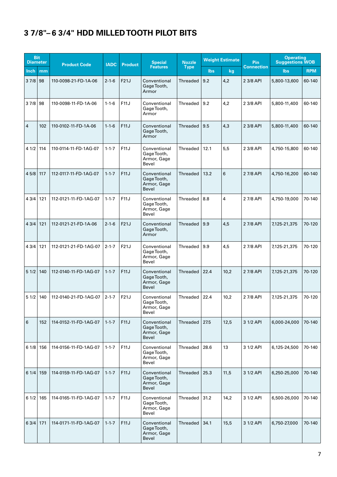#### **3 7/8"– 6 3/4" HDD MILLED TOOTH PILOT BITS**

| <b>Bit</b><br><b>Diameter</b> |     | <b>Product Code</b>   | <b>IADC</b> | <b>Product</b> | <b>Special</b>                                      | <b>Nozzle</b>   |      | <b>Weight Estimate</b> | <b>Pin</b>        | <b>Operating</b><br><b>Suggestions WOB</b> |            |
|-------------------------------|-----|-----------------------|-------------|----------------|-----------------------------------------------------|-----------------|------|------------------------|-------------------|--------------------------------------------|------------|
| Inch                          | mm  |                       |             |                | <b>Features</b>                                     | <b>Type</b>     | lbs  | <u>kg</u>              | <b>Connection</b> | <b>lbs</b>                                 | <b>RPM</b> |
| 37/8                          | 98  | 110-0098-21-FD-1A-06  | $2 - 1 - 6$ | F21J           | Conventional<br>Gage Tooth,<br>Armor                | Threaded        | 9.2  | 4,2                    | 2 3/8 API         | 5,800-13,600                               | 60-140     |
| $37/8$ 98                     |     | 110-0098-11-FD-1A-06  | $1 - 1 - 6$ | F11J           | Conventional<br>Gage Tooth,<br>Armor                | Threaded        | 9.2  | 4,2                    | 2 3/8 API         | 5,800-11,400                               | 60-140     |
| $\overline{4}$                | 102 | 110-0102-11-FD-1A-06  | $1 - 1 - 6$ | F11J           | Conventional<br>Gage Tooth,<br>Armor                | Threaded        | 9.5  | 4,3                    | 2 3/8 API         | 5,800-11,400                               | 60-140     |
| 41/2                          | 114 | 110-0114-11-FD-1AG-07 | $1 - 1 - 7$ | F11J           | Conventional<br>Gage Tooth,<br>Armor, Gage<br>Bevel | Threaded        | 12.1 | 5,5                    | 2 3/8 API         | 4,750-15,800                               | 60-140     |
| 45/8                          | 117 | 112-0117-11-FD-1AG-07 | $1 - 1 - 7$ | F11J           | Conventional<br>Gage Tooth,<br>Armor, Gage<br>Bevel | Threaded        | 13.2 | 6                      | 2 7/8 API         | 4,750-16,200                               | 60-140     |
| 43/4                          | 121 | 112-0121-11-FD-1AG-07 | $1 - 1 - 7$ | F11J           | Conventional<br>Gage Tooth,<br>Armor, Gage<br>Bevel | Threaded        | 8.8  | 4                      | 2 7/8 API         | 4,750-19,000                               | 70-140     |
| 43/4                          | 121 | 112-0121-21-FD-1A-06  | $2 - 1 - 6$ | F21J           | Conventional<br>Gage Tooth,<br>Armor                | <b>Threaded</b> | 9.9  | 4,5                    | 2 7/8 API         | 7,125-21,375                               | 70-120     |
| 43/4                          | 121 | 112-0121-21-FD-1AG-07 | $2 - 1 - 7$ | F21J           | Conventional<br>Gage Tooth,<br>Armor, Gage<br>Bevel | Threaded        | 9.9  | 4,5                    | 2 7/8 API         | 7,125-21,375                               | 70-120     |
| 51/2                          | 140 | 112-0140-11-FD-1AG-07 | $1 - 1 - 7$ | F11J           | Conventional<br>GageTooth,<br>Armor, Gage<br>Bevel  | Threaded        | 22.4 | 10,2                   | 2 7/8 API         | 7,125-21,375                               | 70-120     |
| 51/2                          | 140 | 112-0140-21-FD-1AG-07 | $2 - 1 - 7$ | F21J           | Conventional<br>GageTooth,<br>Armor, Gage<br>Bevel  | Threaded        | 22.4 | 10,2                   | 2 7/8 API         | 7,125-21,375                               | 70-120     |
| 6                             | 152 | 114-0152-11-FD-1AG-07 | $1 - 1 - 7$ | F11J           | Conventional<br>Gage Tooth,<br>Armor, Gage<br>Bevel | Threaded        | 27.5 | 12,5                   | 3 1/2 API         | 6,000-24,000                               | 70-140     |
| 61/8                          | 156 | 114-0156-11-FD-1AG-07 | $1 - 1 - 7$ | F11J           | Conventional<br>Gage Tooth,<br>Armor, Gage<br>Bevel | Threaded        | 28.6 | 13                     | 3 1/2 API         | 6,125-24,500                               | 70-140     |
| 61/4                          | 159 | 114-0159-11-FD-1AG-07 | $1 - 1 - 7$ | F11J           | Conventional<br>Gage Tooth,<br>Armor, Gage<br>Bevel | Threaded        | 25.3 | 11,5                   | 3 1/2 API         | 6,250-25,000                               | 70-140     |
| 61/2                          | 165 | 114-0165-11-FD-1AG-07 | $1 - 1 - 7$ | F11J           | Conventional<br>Gage Tooth,<br>Armor, Gage<br>Bevel | Threaded        | 31.2 | 14,2                   | 3 1/2 API         | 6,500-26,000                               | 70-140     |
| 63/4                          | 171 | 114-0171-11-FD-1AG-07 | $1 - 1 - 7$ | F11J           | Conventional<br>Gage Tooth,<br>Armor, Gage<br>Bevel | Threaded        | 34.1 | 15,5                   | 3 1/2 API         | 6,750-27,000                               | 70-140     |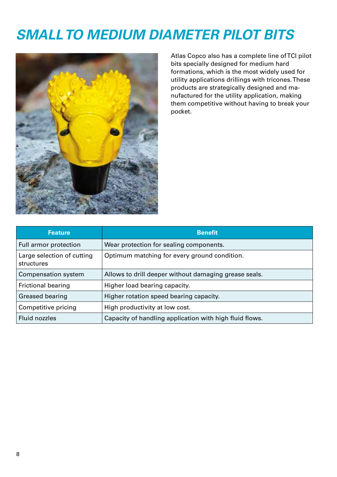# *SMALL TO MEDIUM DIAMETER PILOT BITS*



Atlas Copco also has a complete line of TCI pilot bits specially designed for medium hard formations, which is the most widely used for utility applications drillings with tricones. These products are strategically designed and manufactured for the utility application, making them competitive without having to break your pocket.

| <b>Feature</b>                           | <b>Benefit</b>                                          |
|------------------------------------------|---------------------------------------------------------|
| Full armor protection                    | Wear protection for sealing components.                 |
| Large selection of cutting<br>structures | Optimum matching for every ground condition.            |
| Compensation system                      | Allows to drill deeper without damaging grease seals.   |
| <b>Frictional bearing</b>                | Higher load bearing capacity.                           |
| Greased bearing                          | Higher rotation speed bearing capacity.                 |
| Competitive pricing                      | High productivity at low cost.                          |
| <b>Fluid nozzles</b>                     | Capacity of handling application with high fluid flows. |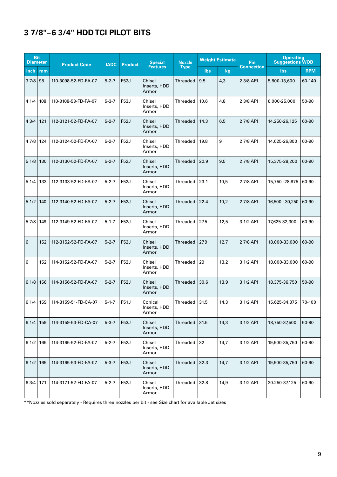#### **3 7/8"–6 3/4" HDD TCI PILOT BITS**

| <b>Bit</b><br><b>Diameter</b> |     | <b>Product Code</b>  | <b>IADC</b> | <b>Product</b> | <b>Special</b>                   | <b>Nozzle</b> | <b>Weight Estimate</b> |      | Pin               | <b>Operating</b><br><b>Suggestions WOB</b> |            |
|-------------------------------|-----|----------------------|-------------|----------------|----------------------------------|---------------|------------------------|------|-------------------|--------------------------------------------|------------|
| <b>Inch</b>                   | mm  |                      |             |                | <b>Features</b>                  | <b>Type</b>   | <b>lbs</b>             | kg   | <b>Connection</b> | <b>lbs</b>                                 | <b>RPM</b> |
| 37/8                          | 98  | 110-3098-52-FD-FA-07 | $5 - 2 - 7$ | F52J           | Chisel<br>Inserts, HDD<br>Armor  | Threaded      | 9.5                    | 4,3  | 2 3/8 API         | 5,800-13,600                               | 60-140     |
| 41/4                          | 108 | 110-3108-53-FD-FA-07 | $5 - 3 - 7$ | F53J           | Chisel<br>Inserts, HDD<br>Armor  | Threaded      | 10.6                   | 4,8  | 2 3/8 API         | 6,000-25,000                               | 50-90      |
| 43/4                          | 121 | 112-3121-52-FD-FA-07 | $5 - 2 - 7$ | <b>F52J</b>    | Chisel<br>Inserts, HDD<br>Armor  | Threaded      | 14.3                   | 6,5  | 2 7/8 API         | 14,250-26,125                              | 60-90      |
| 4 7/8                         | 124 | 112-3124-52-FD-FA-07 | $5 - 2 - 7$ | F52J           | Chisel<br>Inserts, HDD<br>Armor  | Threaded      | 19.8                   | 9    | 2 7/8 API         | 14,625-26,800                              | 60-90      |
| 51/8                          | 130 | 112-3130-52-FD-FA-07 | $5 - 2 - 7$ | F52J           | Chisel<br>Inserts, HDD<br>Armor  | Threaded      | 20.9                   | 9,5  | 2 7/8 API         | 15,375-28,200                              | 60-90      |
| 51/4                          | 133 | 112-3133-52-FD-FA-07 | $5 - 2 - 7$ | F52J           | Chisel<br>Inserts, HDD<br>Armor  | Threaded      | 23.1                   | 10,5 | 2 7/8 API         | 15,750 - 28,875                            | 60-90      |
| 51/2                          | 140 | 112-3140-52-FD-FA-07 | $5 - 2 - 7$ | F52J           | Chisel<br>Inserts, HDD<br>Armor  | Threaded      | 22.4                   | 10,2 | 2 7/8 API         | 16,500 - 30,250                            | 60-90      |
| 57/8                          | 149 | 112-3149-52-FD-FA-07 | $5 - 1 - 7$ | F52J           | Chisel<br>Inserts, HDD<br>Armor  | Threaded      | 27.5                   | 12,5 | 3 1/2 API         | 17,625-32,300                              | 60-90      |
| 6                             | 152 | 112-3152-52-FD-FA-07 | $5 - 2 - 7$ | F52J           | Chisel<br>Inserts, HDD<br>Armor  | Threaded      | 27.9                   | 12,7 | 2 7/8 API         | 18,000-33,000                              | 60-90      |
| 6                             | 152 | 114-3152-52-FD-FA-07 | $5 - 2 - 7$ | F52J           | Chisel<br>Inserts, HDD<br>Armor  | Threaded      | 29                     | 13,2 | 3 1/2 API         | 18,000-33,000                              | 60-90      |
| 61/8                          | 156 | 114-3156-52-FD-FA-07 | $5 - 2 - 7$ | F52J           | Chisel<br>Inserts, HDD<br>Armor  | Threaded      | 30.6                   | 13,9 | 3 1/2 API         | 18,375-36,750                              | 50-90      |
| $61/4$   159                  |     | 114-3159-51-FD-CA-07 | $5 - 1 - 7$ | F51J           | Conical<br>Inserts, HDD<br>Armor | Threaded      | 31.5                   | 14,3 | 3 1/2 API         | 15,625-34,375                              | 70-100     |
| 61/4                          | 159 | 114-3159-53-FD-CA-07 | $5 - 3 - 7$ | F53J           | Chisel<br>Inserts, HDD<br>Armor  | Threaded      | 31.5                   | 14,3 | 3 1/2 API         | 18,750-37,500                              | 50-90      |
| 61/2                          | 165 | 114-3165-52-FD-FA-07 | $5 - 2 - 7$ | F52J           | Chisel<br>Inserts, HDD<br>Armor  | Threaded      | 32                     | 14,7 | 3 1/2 API         | 19,500-35,750                              | 60-90      |
| 61/2                          | 165 | 114-3165-53-FD-FA-07 | $5 - 3 - 7$ | F53J           | Chisel<br>Inserts, HDD<br>Armor  | Threaded      | 32.3                   | 14,7 | 3 1/2 API         | 19,500-35,750                              | 60-90      |
| 6 3/4 171                     |     | 114-3171-52-FD-FA-07 | $5 - 2 - 7$ | F52J           | Chisel<br>Inserts, HDD<br>Armor  | Threaded      | 32.8                   | 14,9 | 3 1/2 API         | 20.250-37,125                              | 60-90      |

\*\*Nozzles sold separately - Requires three nozzles per bit - see Size chart for available Jet sizes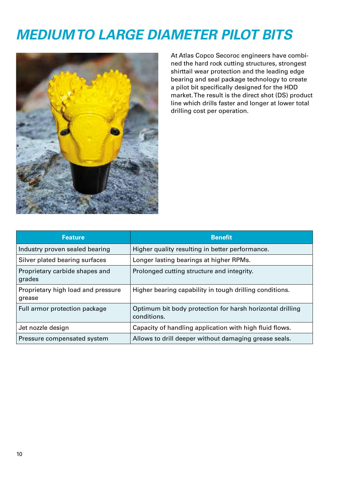## *MEDIUM TO LARGE DIAMETER PILOT BITS*



At Atlas Copco Secoroc engineers have combined the hard rock cutting structures, strongest shirttail wear protection and the leading edge bearing and seal package technology to create a pilot bit specifically designed for the HDD market. The result is the direct shot (DS) product line which drills faster and longer at lower total drilling cost per operation.

| <b>Feature</b>                               | <b>Benefit</b>                                                           |
|----------------------------------------------|--------------------------------------------------------------------------|
| Industry proven sealed bearing               | Higher quality resulting in better performance.                          |
| Silver plated bearing surfaces               | Longer lasting bearings at higher RPMs.                                  |
| Proprietary carbide shapes and<br>grades     | Prolonged cutting structure and integrity.                               |
| Proprietary high load and pressure<br>grease | Higher bearing capability in tough drilling conditions.                  |
| Full armor protection package                | Optimum bit body protection for harsh horizontal drilling<br>conditions. |
| Jet nozzle design                            | Capacity of handling application with high fluid flows.                  |
| Pressure compensated system                  | Allows to drill deeper without damaging grease seals.                    |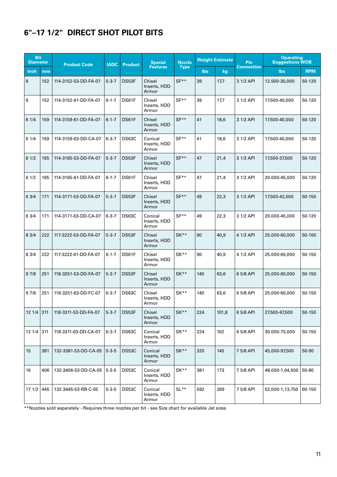#### **6"–17 1/2" DIRECT SHOT PILOT BITS**

| <b>Bit</b><br><b>Diameter</b> |     | <b>Product Code</b>  | <b>IADC</b> | <b>Product</b> | <b>Special</b>                   | <b>Nozzle</b> |            | <b>Weight Estimate</b> | Pin               | <b>Operating</b><br><b>Suggestions WOB</b> |            |
|-------------------------------|-----|----------------------|-------------|----------------|----------------------------------|---------------|------------|------------------------|-------------------|--------------------------------------------|------------|
| Inch                          | mm  |                      |             |                | <b>Features</b>                  | <b>Type</b>   | <b>lbs</b> | kg                     | <b>Connection</b> | lbs                                        | <b>RPM</b> |
| 6                             | 152 | 114-3152-53-DD-FA-07 | $5 - 3 - 7$ | DS53F          | Chisel<br>Inserts, HDD<br>Armor  | $SF**$        | 39         | 17,7                   | 3 1/2 API         | 12.500-30,000                              | 50-120     |
| 6                             | 152 | 114-3152-61-DD-FA-07 | $6 - 1 - 7$ | DS61F          | Chisel<br>Inserts, HDD<br>Armor  | $SF**$        | 39         | 17,7                   | 3 1/2 API         | 17.500-40,000                              | 50-120     |
| 61/4                          | 159 | 114-3159-61-DD-FA-07 | $6 - 1 - 7$ | DS61F          | Chisel<br>Inserts, HDD<br>Armor  | $SF**$        | 41         | 18,6                   | 3 1/2 API         | 17.500-40,000                              | 50-120     |
| 61/4                          | 159 | 114-3159-63-DD-CA-07 | $6 - 3 - 7$ | DS63C          | Conical<br>Inserts, HDD<br>Armor | $SF**$        | 41         | 18,6                   | 3 1/2 API         | 17.500-40,000                              | 50-120     |
| 61/2                          | 165 | 114-3165-53-DD-FA-07 | $5 - 3 - 7$ | DS53F          | Chisel<br>Inserts, HDD<br>Armor  | $SF**$        | 47         | 21,4                   | 3 1/2 API         | 17,500-37,500                              | 50-120     |
| 61/2                          | 165 | 114-3165-61-DD-FA-07 | $6 - 1 - 7$ | DS61F          | Chisel<br>Inserts, HDD<br>Armor  | $SF**$        | 47         | 21,4                   | 3 1/2 API         | 20.000-45,000                              | 50-120     |
| 63/4                          | 171 | 114-3171-53-DD-FA-07 | $5 - 3 - 7$ | DS53F          | Chisel<br>Inserts, HDD<br>Armor  | $SF**$        | 49         | 22,3                   | 3 1/2 API         | 17.500-42,500                              | 50-150     |
| 63/4                          | 171 | 114-3171-63-DD-CA-07 | $6 - 3 - 7$ | DS63C          | Conical<br>Inserts, HDD<br>Armor | $SF**$        | 49         | 22,3                   | 3 1/2 API         | 20.000-45.000                              | 50-120     |
| 83/4                          | 222 | 117-3222-53-DD-FA-07 | $5 - 3 - 7$ | DS53F          | Chisel<br>Inserts, HDD<br>Armor  | $SK**$        | 90         | 40,9                   | 4 1/2 API         | 25.000-60,000                              | 50-150     |
| 8 3/4                         | 222 | 117-3222-61-DD-FA-07 | $6 - 1 - 7$ | DS61F          | Chisel<br>Inserts, HDD<br>Armor  | $SK**$        | 90         | 40,9                   | 4 1/2 API         | 25.000-60,000                              | 50-150     |
| 97/8                          | 251 | 118-3251-53-DD-FA-07 | $5 - 3 - 7$ | DS53F          | Chisel<br>Inserts, HDD<br>Armor  | SK**          | 140        | 63,6                   | 6 5/8 API         | 25.000-60,000                              | 50-150     |
| 97/8                          | 251 | 118-3251-63-DD-FC-07 | $6 - 3 - 7$ | DS63C          | Chisel<br>Inserts, HDD<br>Armor  | $SK**$        | 140        | 63,6                   | 6 5/8 API         | 25.000-60.000                              | 50-150     |
| 12 1/4                        | 311 | 118-3311-53-DD-FA-07 | $5 - 3 - 7$ | DS53F          | Chisel<br>Inserts, HDD<br>Armor  | SK**          | 224        | 101,8                  | 6 5/8 API         | 27.500-67,500                              | 50-150     |
| 12 1/4                        | 311 | 118-3311-63-DD-CA-07 | $6 - 3 - 7$ | DS63C          | Conical<br>Inserts, HDD<br>Armor | SK**          | 224        | 102                    | 6 5/8 API         | 30.000-75,000                              | 50-150     |
| 15                            | 381 | 132-3381-53-DD-CA-05 | $5 - 3 - 5$ | DS53C          | Conical<br>Inserts, HDD<br>Armor | $SK**$        | 320        | 145                    | 7 5/8 API         | 45,000-97,500                              | 50-90      |
| 16                            | 406 | 132-3406-53-DD-CA-05 | $5 - 3 - 5$ | DS53C          | Conical<br>Inserts, HDD<br>Armor | SK**          | 381        | 173                    | 7 5/8 API         | 48,000-1,04,500                            | 50-80      |
| 171/2                         | 445 | 132-3445-53-RB-C-05  | $5 - 3 - 5$ | DS53C          | Conical<br>Inserts, HDD<br>Armor | $SL**$        | 592        | 269                    | 7 5/8 API         | 52,000-1,13,750                            | 60-150     |

\*\*Nozzles sold separately - Requires three nozzles per bit - see Size chart for available Jet sizes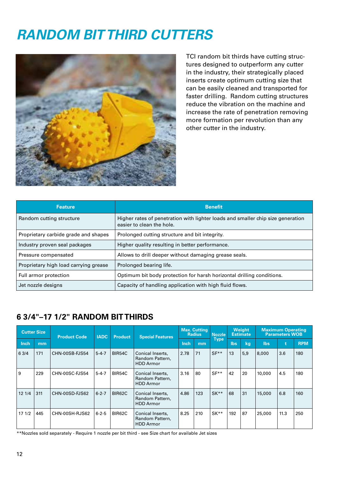### *RANDOM BIT THIRD CUTTERS*



TCI random bit thirds have cutting structures designed to outperform any cutter in the industry, their strategically placed inserts create optimum cutting size that can be easily cleaned and transported for faster drilling. Random cutting structures reduce the vibration on the machine and increase the rate of penetration removing more formation per revolution than any other cutter in the industry.

| <b>Feature</b>                        | <b>Benefit</b>                                                                                               |
|---------------------------------------|--------------------------------------------------------------------------------------------------------------|
| Random cutting structure              | Higher rates of penetration with lighter loads and smaller chip size generation<br>easier to clean the hole. |
| Proprietary carbide grade and shapes  | Prolonged cutting structure and bit integrity.                                                               |
| Industry proven seal packages         | Higher quality resulting in better performance.                                                              |
| Pressure compensated                  | Allows to drill deeper without damaging grease seals.                                                        |
| Proprietary high load carrying grease | Prolonged bearing life.                                                                                      |
| Full armor protection                 | Optimum bit body protection for harsh horizontal drilling conditions.                                        |
| Jet nozzle designs                    | Capacity of handling application with high fluid flows.                                                      |

#### **6 3/4"–17 1/2" RANDOM BIT THIRDS**

| <b>Cutter Size</b> |     | <b>Product Code</b> | <b>IADC</b> |        |                                                         |             |     |             |      | <b>Product</b> | <b>Special Features</b> | <b>Max. Cutting</b><br><b>Radius</b> |            | <b>Nozzle</b> | <b>Weight</b><br><b>Estimate</b> |  | <b>Maximum Operating</b><br><b>Parameters WOB</b> |  |  |
|--------------------|-----|---------------------|-------------|--------|---------------------------------------------------------|-------------|-----|-------------|------|----------------|-------------------------|--------------------------------------|------------|---------------|----------------------------------|--|---------------------------------------------------|--|--|
| Inch               | mm  |                     |             |        |                                                         | <b>Inch</b> | mm  | <b>Type</b> | lbs. | kg             | <b>lbs</b>              |                                      | <b>RPM</b> |               |                                  |  |                                                   |  |  |
| 6 3/4              | 171 | CHN-00SB-FJS54      | $5 - 4 - 7$ | BIR54C | Conical Inserts,<br>Random Pattern,<br><b>HDD</b> Armor | 2.78        | 71  | $SF**$      | 13   | 5,9            | 8,000                   | 3.6                                  | 180        |               |                                  |  |                                                   |  |  |
| و ا                | 229 | CHN-00SC-FJS54      | $5 - 4 - 7$ | BIR54C | Conical Inserts,<br>Random Pattern,<br><b>HDD</b> Armor | 3.16        | 80  | $SF**$      | 42   | 20             | 10,000                  | 4.5                                  | 180        |               |                                  |  |                                                   |  |  |
| 121/4              | 311 | CHN-00SD-FJS62      | $6 - 2 - 7$ | BIR62C | Conical Inserts,<br>Random Pattern,<br><b>HDD</b> Armor | 4.86        | 123 | $SK**$      | 68   | 31             | 15,000                  | 6.8                                  | 160        |               |                                  |  |                                                   |  |  |
| 171/2              | 445 | CHN-00SH-RJS62      | $6 - 2 - 5$ | BIR62C | Conical Inserts,<br>Random Pattern,<br><b>HDD Armor</b> | 8.25        | 210 | $SK**$      | 192  | 87             | 25,000                  | 11.3                                 | 250        |               |                                  |  |                                                   |  |  |

\*\*Nozzles sold separately - Require 1 nozzle per bit third - see Size chart for available Jet sizes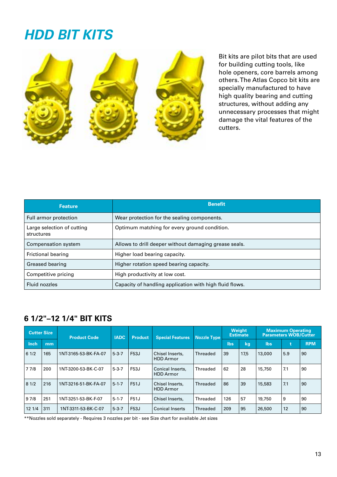### *HDD BIT KITS*



Bit kits are pilot bits that are used for building cutting tools, like hole openers, core barrels among others. The Atlas Copco bit kits are specially manufactured to have high quality bearing and cutting structures, without adding any unnecessary processes that might damage the vital features of the cutters.

| <b>Feature</b>                           | <b>Benefit</b>                                          |
|------------------------------------------|---------------------------------------------------------|
| Full armor protection                    | Wear protection for the sealing components.             |
| Large selection of cutting<br>structures | Optimum matching for every ground condition.            |
| Compensation system                      | Allows to drill deeper without damaging grease seals.   |
| Frictional bearing                       | Higher load bearing capacity.                           |
| Greased bearing                          | Higher rotation speed bearing capacity.                 |
| Competitive pricing                      | High productivity at low cost.                          |
| Fluid nozzles                            | Capacity of handling application with high fluid flows. |

#### **6 1/2"–12 1/4" BIT KITS**

| <b>Cutter Size</b> |     | <b>Product Code</b>  | <b>IADC</b> | <b>Special Features</b><br><b>Product</b> |                                      | <b>Nozzle Type</b> |            | Weight<br><b>Estimate</b> | <b>Maximum Operating</b><br>Parameters WOB/Cutter |     |            |
|--------------------|-----|----------------------|-------------|-------------------------------------------|--------------------------------------|--------------------|------------|---------------------------|---------------------------------------------------|-----|------------|
| <b>Inch</b>        | mm  |                      |             |                                           |                                      |                    | <b>lbs</b> | kg                        | <b>lbs</b>                                        |     | <b>RPM</b> |
| 61/2               | 165 | 1NT-3165-53-BK-FA-07 | $5 - 3 - 7$ | F53J                                      | Chisel Inserts,<br><b>HDD Armor</b>  | Threaded           | 39         | 17,5                      | 13,000                                            | 5.9 | 90         |
| 77/8               | 200 | 1NT-3200-53-BK-C-07  | $5 - 3 - 7$ | F53J                                      | Conical Inserts,<br><b>HDD Armor</b> | Threaded           | 62         | 28                        | 15,750                                            | 7.1 | 90         |
| 81/2               | 216 | 1NT-3216-51-BK-FA-07 | $5 - 1 - 7$ | F51J                                      | Chisel Inserts,<br><b>HDD Armor</b>  | Threaded           | 86         | 39                        | 15,583                                            | 7.1 | 90         |
| 97/8               | 251 | 1NT-3251-53-BK-F-07  | $5 - 1 - 7$ | F51J                                      | Chisel Inserts,                      | Threaded           | 126        | 57                        | 19,750                                            | 9   | 90         |
| 12 1/4             | 311 | 1NT-3311-53-BK-C-07  | $5 - 3 - 7$ | F53J                                      | <b>Conical Inserts</b>               | Threaded           | 209        | 95                        | 26,500                                            | 12  | 90         |

\*\*Nozzles sold separately - Requires 3 nozzles per bit - see Size chart for available Jet sizes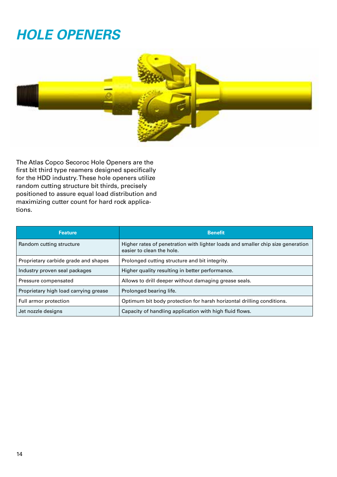# *HOLE OPENERS*



The Atlas Copco Secoroc Hole Openers are the first bit third type reamers designed specifically for the HDD industry. These hole openers utilize random cutting structure bit thirds, precisely positioned to assure equal load distribution and maximizing cutter count for hard rock applications.

| <b>Feature</b>                        | <b>Benefit</b>                                                                                               |
|---------------------------------------|--------------------------------------------------------------------------------------------------------------|
| Random cutting structure              | Higher rates of penetration with lighter loads and smaller chip size generation<br>easier to clean the hole. |
| Proprietary carbide grade and shapes  | Prolonged cutting structure and bit integrity.                                                               |
| Industry proven seal packages         | Higher quality resulting in better performance.                                                              |
| Pressure compensated                  | Allows to drill deeper without damaging grease seals.                                                        |
| Proprietary high load carrying grease | Prolonged bearing life.                                                                                      |
| Full armor protection                 | Optimum bit body protection for harsh horizontal drilling conditions.                                        |
| Jet nozzle designs                    | Capacity of handling application with high fluid flows.                                                      |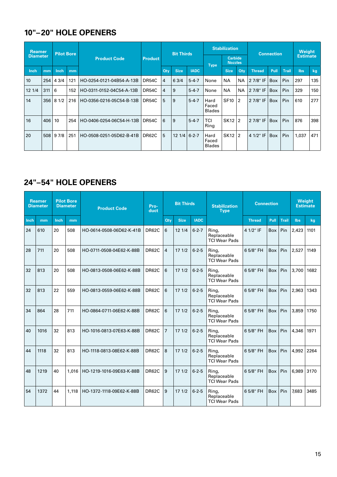#### **10"–20" HOLE OPENERS**

| <b>Reamer</b><br><b>Diameter</b> |     | <b>Pilot Bore</b> |     |                          |                |                | <b>Bit Thirds</b> |             |                                | <b>Stabilization</b>             |                | <b>Connection</b> | Weight          |              |       |     |
|----------------------------------|-----|-------------------|-----|--------------------------|----------------|----------------|-------------------|-------------|--------------------------------|----------------------------------|----------------|-------------------|-----------------|--------------|-------|-----|
|                                  |     |                   |     | <b>Product Code</b>      | <b>Product</b> |                |                   |             | <b>Type</b>                    | <b>Carbide</b><br><b>Nozzles</b> |                |                   | <b>Estimate</b> |              |       |     |
| Inch                             | mm  | Inch              | mm  |                          |                | <b>Qtv</b>     | <b>Size</b>       | <b>IADC</b> |                                | <b>Size</b>                      | Qtv            | <b>Thread</b>     | Pull            | <b>Trail</b> | lbs   | kg  |
| 10                               | 254 | 43/4              | 121 | HO-0254-0121-04B54-A-13B | DR54C          | $\overline{4}$ | 63/4              | $5 - 4 - 7$ | None                           | <b>NA</b>                        | <b>NA</b>      | 2 7/8" IF         | <b>Box</b>      | Pin          | 297   | 135 |
| 12 1/4                           | 311 | 6                 | 152 | HO-0311-0152-04C54-A-13B | DR54C          | 4              | 9                 | $5 - 4 - 7$ | None                           | <b>NA</b>                        | <b>NA</b>      | 2 7/8" IF         | <b>Box</b>      | Pin          | 329   | 150 |
| 14                               | 356 | 8 1/2             | 216 | HO-0356-0216-05C54-B-13B | DR54C          | 5              | 9                 | $5 - 4 - 7$ | Hard<br>Faced<br><b>Blades</b> | <b>SF10</b>                      | $\overline{2}$ | 2 7/8" IF         | <b>Box</b>      | Pin          | 610   | 277 |
| 16                               | 406 | 10                | 254 | HO-0406-0254-06C54-H-13B | DR54C          | 6              | 9                 | $5 - 4 - 7$ | TCI<br>Ring                    | SK12   2                         |                | 2 7/8" IF         | <b>Box</b>      | Pin          | 876   | 398 |
| 20                               | 508 | 97/8              | 251 | HO-0508-0251-05D62-B-41B | DR62C          | 5              | $121/4$ 6-2-7     |             | Hard<br>Faced<br><b>Blades</b> | SK12   2                         |                | 4 1/2" IF         | <b>Box</b>      | Pin          | 1.037 | 471 |

#### **24"–54" HOLE OPENERS**

|      | <b>Reamer</b><br><b>Diameter</b> |      | <b>Pilot Bore</b><br><b>Diameter</b> | <b>Bit Thirds</b><br>Pro-<br><b>Product Code</b><br>duct |              | <b>Stabilization</b><br><b>Type</b> | <b>Connection</b> | <b>Weight</b><br><b>Estimate</b> |                                              |               |            |              |            |      |
|------|----------------------------------|------|--------------------------------------|----------------------------------------------------------|--------------|-------------------------------------|-------------------|----------------------------------|----------------------------------------------|---------------|------------|--------------|------------|------|
| Inch | mm                               | Inch | mm                                   |                                                          |              | <b>Oty</b>                          | <b>Size</b>       | <b>IADC</b>                      |                                              | <b>Thread</b> | Pull       | <b>Trail</b> | <b>lbs</b> | kg   |
| 24   | 610                              | 20   | 508                                  | HO-0614-0508-06D62-K-41B                                 | DR62C        | 6                                   | 12 1/4            | $6 - 2 - 7$                      | Ring,<br>Replaceable<br><b>TCI Wear Pads</b> | 4 1/2" IF     | <b>Box</b> | Pin          | 2,423      | 1101 |
| 28   | 711                              | 20   | 508                                  | HO-0711-0508-04E62-K-88B                                 | DR62C        | 4                                   | 171/2             | $6 - 2 - 5$                      | Ring,<br>Replaceable<br><b>TCI Wear Pads</b> | 6 5/8" FH     | Box        | Pin          | 2,527      | 1149 |
| 32   | 813                              | 20   | 508                                  | HO-0813-0508-06E62-K-88B                                 | <b>DR62C</b> | 6                                   | 171/2             | $6 - 2 - 5$                      | Ring,<br>Replaceable<br><b>TCI Wear Pads</b> | 6 5/8" FH     | Box        | Pin          | 3,700      | 1682 |
| 32   | 813                              | 22   | 559                                  | HO-0813-0559-06E62-K-88B                                 | DR62C        | 6                                   | 171/2             | $6 - 2 - 5$                      | Ring,<br>Replaceable<br><b>TCI Wear Pads</b> | 6 5/8" FH     | Box        | Pin          | 2,963      | 1343 |
| 34   | 864                              | 28   | 711                                  | HO-0864-0711-06E62-K-88B                                 | <b>DR62C</b> | 6                                   | 171/2             | $6 - 2 - 5$                      | Ring,<br>Replaceable<br><b>TCI Wear Pads</b> | 6 5/8" FH     | Box        | Pin          | 3,859      | 1750 |
| 40   | 1016                             | 32   | 813                                  | HO-1016-0813-07E63-K-88B                                 | <b>DR62C</b> | $\overline{7}$                      | 171/2             | $6 - 2 - 5$                      | Ring,<br>Replaceable<br><b>TCI Wear Pads</b> | 6 5/8" FH     | Box        | Pin          | 4,346      | 1971 |
| 44   | 1118                             | 32   | 813                                  | HO-1118-0813-08E62-K-88B                                 | DR62C        | 8                                   | 171/2             | $6 - 2 - 5$                      | Ring,<br>Replaceable<br><b>TCI Wear Pads</b> | 6 5/8" FH     | Box        | Pin          | 4,992      | 2264 |
| 48   | 1219                             | 40   | 1.016                                | HO-1219-1016-09E63-K-88B                                 | DR62C        | 9                                   | 171/2             | $6 - 2 - 5$                      | Ring,<br>Replaceable<br><b>TCI Wear Pads</b> | 6 5/8" FH     | <b>Box</b> | Pin          | 6.989      | 3170 |
| 54   | 1372                             | 44   | 1,118                                | HO-1372-1118-09E62-K-88B                                 | <b>DR62C</b> | 9                                   | 171/2             | $6 - 2 - 5$                      | Ring,<br>Replaceable<br><b>TCI Wear Pads</b> | 6 5/8" FH     | Box        | Pin          | 7,683      | 3485 |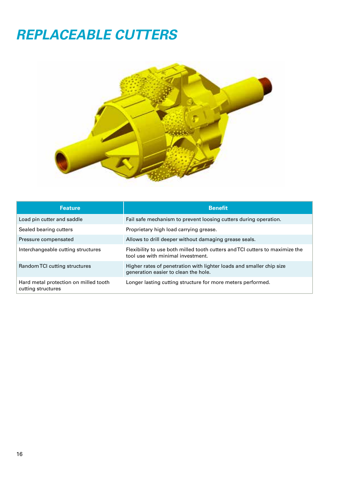### *REPLACEABLE CUTTERS*



| <b>Feature</b>                                              | <b>Benefit</b>                                                                                                    |
|-------------------------------------------------------------|-------------------------------------------------------------------------------------------------------------------|
| Load pin cutter and saddle                                  | Fail safe mechanism to prevent loosing cutters during operation.                                                  |
| Sealed bearing cutters                                      | Proprietary high load carrying grease.                                                                            |
| Pressure compensated                                        | Allows to drill deeper without damaging grease seals.                                                             |
| Interchangeable cutting structures                          | Flexibility to use both milled tooth cutters and TCI cutters to maximize the<br>tool use with minimal investment. |
| Random TCI cutting structures                               | Higher rates of penetration with lighter loads and smaller chip size<br>generation easier to clean the hole.      |
| Hard metal protection on milled tooth<br>cutting structures | Longer lasting cutting structure for more meters performed.                                                       |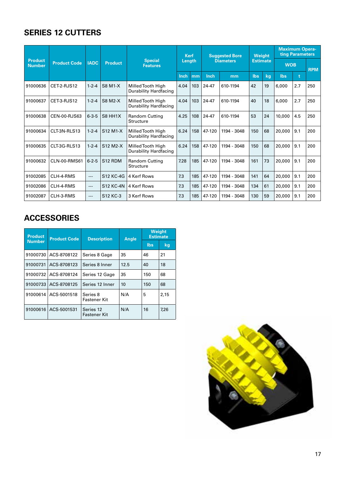#### **SERIES 12 CUTTERS**

| <b>Product</b> |                     | <b>Kerf</b><br><b>Suggested Bore</b><br><b>Diameters</b> |                  |                                                   | <b>Weight</b> |     | <b>Maximum Opera-</b><br>ting Parameters |                 |     |            |            |     |     |
|----------------|---------------------|----------------------------------------------------------|------------------|---------------------------------------------------|---------------|-----|------------------------------------------|-----------------|-----|------------|------------|-----|-----|
| <b>Number</b>  | <b>Product Code</b> | <b>IADC</b>                                              | <b>Product</b>   | <b>Special</b><br><b>Features</b>                 | Length        |     |                                          | <b>Estimate</b> |     | <b>WOB</b> | <b>RPM</b> |     |     |
|                |                     |                                                          |                  |                                                   | Inch          | mm  | Inch<br>mm                               |                 | lbs | kq         | <b>lbs</b> | t   |     |
| 91000636       | CET-2-RJS12         | $1 - 2 - 4$                                              | <b>S8 M1-X</b>   | Milled Tooth High<br>Durability Hardfacing        | 4.04          | 103 | 24-47                                    | 610-1194        | 42  | 19         | 6,000      | 2.7 | 250 |
| 91000637       | CET-3-RJS12         | $1 - 2 - 4$                                              | <b>S8 M2-X</b>   | Milled Tooth High<br><b>Durability Hardfacing</b> | 4.04          | 103 | 24-47                                    | 610-1194        | 40  | 18         | 6,000      | 2.7 | 250 |
| 91000638       | CEN-00-RJS63        | $6 - 3 - 5$                                              | S8 HH1X          | Random Cutting<br>Structure                       | 4.25          | 108 | 24-47                                    | 610-1194        | 53  | 24         | 10,000     | 4.5 | 250 |
| 91000634       | CLT-3N-RLS13        | $1 - 2 - 4$                                              | S12 M1-X         | Milled Tooth High<br>Durability Hardfacing        | 6.24          | 158 | 47-120                                   | 1194 - 3048     | 150 | 68         | 20,000     | 9.1 | 200 |
| 91000635       | CLT-3G-RLS13        | $1 - 2 - 4$                                              | S12 M2-X         | Milled Tooth High<br><b>Durability Hardfacing</b> | 6.24          | 158 | 47-120                                   | 1194 - 3048     | 150 | 68         | 20,000     | 9.1 | 200 |
| 91000632       | <b>CLN-00-RMS61</b> | $6 - 2 - 5$                                              | S12 RDM          | Random Cutting<br>Structure                       | 7.28          | 185 | 47-120                                   | 1194 - 3048     | 161 | 73         | 20,000     | 9.1 | 200 |
| 91002085       | CLH-4-RMS           | $---$                                                    | S12 KC-4G        | 4 Kerf Rows                                       | 7.3           | 185 | 47-120                                   | 1194 - 3048     | 141 | 64         | 20,000     | 9.1 | 200 |
| 91002086       | CLH-4-RMS           | $---$                                                    | <b>S12 KC-4N</b> | 4 Kerf Rows                                       | 7.3           | 185 | 47-120                                   | 1194 - 3048     | 134 | 61         | 20,000     | 9.1 | 200 |
| 91002087       | CLH-3-RMS           | $---$                                                    | S12 KC-3         | 3 Kerf Rows                                       | 7.3           | 185 | 47-120                                   | 1194 - 3048     | 130 | 59         | 20,000     | 9.1 | 200 |

#### **ACCESSORIES**

| <b>Product</b> | <b>Product Code</b> | <b>Description</b>               | <b>Angle</b> |     | <b>Weight</b><br><b>Estimate</b> |  |  |
|----------------|---------------------|----------------------------------|--------------|-----|----------------------------------|--|--|
| <b>Number</b>  |                     |                                  |              | lbs | kg                               |  |  |
| 91000730       | ACS-8708122         | Series 8 Gage                    | 35           | 46  | 21                               |  |  |
| 91000731       | ACS-8708123         | Series 8 Inner                   | 12.5         | 40  | 18                               |  |  |
| 91000732       | ACS-8708124         | Series 12 Gage                   | 35           | 150 | 68                               |  |  |
| 91000733       | ACS-8708125         | Series 12 Inner                  | 10           | 150 | 68                               |  |  |
| 91000614       | ACS-5001518         | Series 8<br>Fastener Kit         | N/A          | 5   | 2,15                             |  |  |
| 91000616       | ACS-5001531         | Series 12<br><b>Fastener Kit</b> | N/A          | 16  | 7,26                             |  |  |

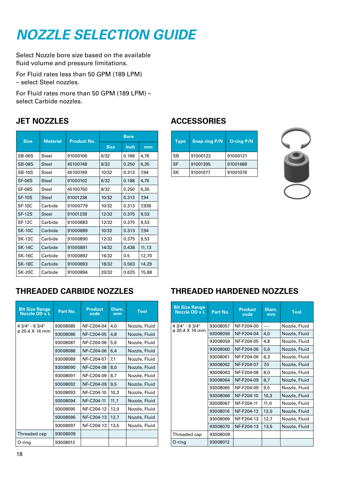# *NOZZLE SELECTION GUIDE*

Select Nozzle bore size based on the available fluid volume and pressure limitations.

For Fluid rates less than 50 GPM (189 LPM) – select Steel nozzles.

For Fluid rates more than 50 GPM (189 LPM) – select Carbide nozzles.

#### **JET NOZZLES**

| <b>Size</b>   | <b>Material</b> | <b>Product No.</b> | <b>Bore</b> |             |       |  |  |  |  |  |
|---------------|-----------------|--------------------|-------------|-------------|-------|--|--|--|--|--|
|               |                 |                    | <b>Size</b> | <b>Inch</b> | mm    |  |  |  |  |  |
| <b>SB-06S</b> | Steel           | 91000106           | 6/32        | 0.188       | 4,76  |  |  |  |  |  |
| <b>SB-08S</b> | Steel           | 45100748           | 8/32        | 0.250       | 6,35  |  |  |  |  |  |
| <b>SB-10S</b> | Steel           | 45100749           | 10/32       | 0.313       | 7,94  |  |  |  |  |  |
| SF-06S        | Steel           | 91000102           | 6/32        | 0.188       | 4,76  |  |  |  |  |  |
| <b>SF-08S</b> | Steel           | 45100750           | 8/32        | 0.250       | 6,35  |  |  |  |  |  |
| <b>SF-10S</b> | Steel           | 91001238           | 10/32       | 0.313       | 7,94  |  |  |  |  |  |
| <b>SF-10C</b> | Carbide         | 91000779           | 10/32       | 0.313       | 7,938 |  |  |  |  |  |
| <b>SF-12S</b> | Steel           | 91001239           | 12/32       | 0.375       | 9,53  |  |  |  |  |  |
| <b>SF-12C</b> | Carbide         | 91000883           | 12/32       | 0.375       | 9,53  |  |  |  |  |  |
| <b>SK-10C</b> | Carbide         | 91000889           | 10/32       | 0.313       | 7,94  |  |  |  |  |  |
| <b>SK-12C</b> | Carbide         | 91000890           | 12/32       | 0.375       | 9,53  |  |  |  |  |  |
| <b>SK-14C</b> | Carbide         | 91000891           | 14/32       | 0.438       | 11,13 |  |  |  |  |  |
| <b>SK-16C</b> | Carbide         | 91000892           | 16/32       | 0.5         | 12,70 |  |  |  |  |  |
| <b>SK-18C</b> | Carbide         | 91000893           | 18/32       | 0.563       | 14,29 |  |  |  |  |  |
| <b>SK-20C</b> | Carbide         | 91000894           | 20/32       | 0.625       | 15,88 |  |  |  |  |  |

#### **ACCESSORIES**

| <b>Type</b> | <b>Snap ring P/N</b> | <b>O-ring P/N</b> |
|-------------|----------------------|-------------------|
| SB          | 91000122             | 91000121          |
| <b>SF</b>   | 91001395             | 91001688          |
| <b>SK</b>   | 91001077             | 91001078          |



#### **THREADED CARBIDE NOZZLES**

| <b>Bit Size Range</b><br>Nozzle OD x L | Part No. | <b>Product</b><br>code | Diam.<br>mm | <b>Tool</b>   |
|----------------------------------------|----------|------------------------|-------------|---------------|
| 4 3/4" - 6 3/4"                        | 93008085 | NF-C204-04             | 4,0         | Nozzle, Fluid |
| ø 20.4 X 14 mm                         | 93008086 | NF-C204-05             | 4.8         | Nozzle, Fluid |
|                                        | 93008087 | NF-C204-06             | 5,6         | Nozzle, Fluid |
|                                        | 93008088 | NF-C204-06             | 6,4         | Nozzle, Fluid |
|                                        | 93008089 | NF-C204-07             | 7,1         | Nozzle, Fluid |
|                                        | 93008090 | NF-C204-08             | 8,0         | Nozzle, Fluid |
|                                        | 93008091 | NF-C204-09             | 8,7         | Nozzle, Fluid |
|                                        | 93008092 | NF-C204-09             | 9,5         | Nozzle, Fluid |
|                                        | 93008093 | NF-C204-10             | 10,3        | Nozzle, Fluid |
|                                        | 93008094 | NF-C204-11             | 11,1        | Nozzle, Fluid |
|                                        | 93008095 | NF-C204-12             | 12,0        | Nozzle, Fluid |
|                                        | 93008096 | NF-C204-13             | 12,7        | Nozzle, Fluid |
|                                        | 93008097 | NF-C204-13             | 13,5        | Nozzle, Fluid |
| Threaded cap                           | 93008009 |                        |             |               |
| 0-ring                                 | 93008012 |                        |             |               |

#### **THREADED HARDENED NOZZLES**

| <b>Bit Size Range</b><br>Nozzle OD x L | Part No. | <b>Product</b><br>code | Diam.<br>mm | <b>Tool</b>   |
|----------------------------------------|----------|------------------------|-------------|---------------|
| 4 3/4" - 6 3/4"                        | 93008057 | NF-F204-00             | ----        | Nozzle, Fluid |
| $\sigma$ 20.4 X 14 mm                  | 93008058 | NF-F204-04             | 4,0         | Nozzle, Fluid |
|                                        | 93008059 | NF-F204-05             | 4,8         | Nozzle, Fluid |
|                                        | 93008060 | NF-F204-06             | 5,6         | Nozzle, Fluid |
|                                        | 93008061 | NF-F204-06             | 6,3         | Nozzle, Fluid |
|                                        | 93008062 | NF-F204-07             | 7,0         | Nozzle, Fluid |
|                                        | 93008063 | NF-F204-08             | 8,0         | Nozzle, Fluid |
|                                        | 93008064 | NF-F204-09             | 8,7         | Nozzle, Fluid |
|                                        | 93008065 | NF-F204-09             | 9,5         | Nozzle, Fluid |
|                                        | 93008066 | NF-F204-10             | 10,3        | Nozzle, Fluid |
|                                        | 93008067 | NF-F204-11             | 11,0        | Nozzle, Fluid |
|                                        | 93008016 | NF-F204-12             | 12,0        | Nozzle, Fluid |
|                                        | 93008069 | NF-F204-13             | 12,7        | Nozzle, Fluid |
|                                        | 93008070 | NF-F204-13             | 13,5        | Nozzle, Fluid |
| Threaded cap                           | 93008009 |                        |             |               |
| O-ring                                 | 93008012 |                        |             |               |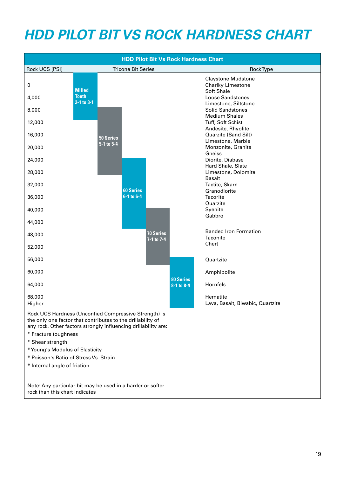# *HDD PILOT BIT VS ROCK HARDNESS CHART*



19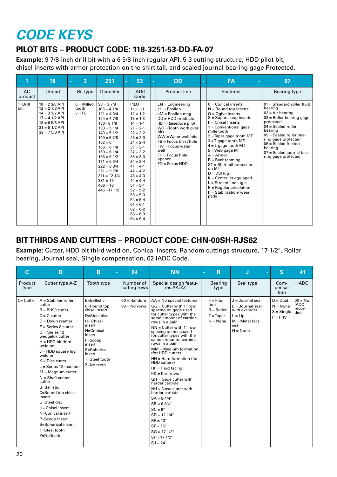## *CODE KEYS*

#### **PILOT BITS – PRODUCT CODE: 118-3251-53-DD-FA-07**

**Example:** 9 7/8-inch drill bit with a 6 5/8-inch regular API, 5-3 cutting structure, HDD pilot bit, chisel inserts with armor protection on the shirt tail, and sealed journal bearing gage Protected.

|                      | 18                                                                                                                                         | ÷. | 3                                  | 251                                                                                                                                                                                                                                                                                                   | 53                                                                                                                                                                                                                                                                                                                                                          | <b>DD</b>                                                                                                                                                                                                                                                                         | $\blacksquare$ | <b>FA</b>                                                                                                                                                                                                                                                                                                                                                                                                                                                                                          | ÷. | 07                                                                                                                                                                                                                                                                                      |
|----------------------|--------------------------------------------------------------------------------------------------------------------------------------------|----|------------------------------------|-------------------------------------------------------------------------------------------------------------------------------------------------------------------------------------------------------------------------------------------------------------------------------------------------------|-------------------------------------------------------------------------------------------------------------------------------------------------------------------------------------------------------------------------------------------------------------------------------------------------------------------------------------------------------------|-----------------------------------------------------------------------------------------------------------------------------------------------------------------------------------------------------------------------------------------------------------------------------------|----------------|----------------------------------------------------------------------------------------------------------------------------------------------------------------------------------------------------------------------------------------------------------------------------------------------------------------------------------------------------------------------------------------------------------------------------------------------------------------------------------------------------|----|-----------------------------------------------------------------------------------------------------------------------------------------------------------------------------------------------------------------------------------------------------------------------------------------|
| <b>AC</b><br>product | Thread                                                                                                                                     |    | Bit type                           | <b>Diameter</b>                                                                                                                                                                                                                                                                                       | <b>IADC</b><br>Code                                                                                                                                                                                                                                                                                                                                         | Product line                                                                                                                                                                                                                                                                      |                | Features                                                                                                                                                                                                                                                                                                                                                                                                                                                                                           |    | Bearing type                                                                                                                                                                                                                                                                            |
| $1 = Drill$<br>bit   | $10 = 2 \frac{3}{8}$ API<br>$12 = 27/8$ API<br>$14 = 31/2$ API<br>$17 = 41/2$ API<br>$18 = 65/8$ API<br>$31 = 51/2$ API<br>$32 = 75/8$ API |    | $0 =$ Milled<br>tooth<br>$3 = TCI$ | $98 = 37/8$<br>$108 = 41/4$<br>$121 = 43/4$<br>$124 = 47/8$<br>$130 = 51/8$<br>$133 = 51/4$<br>$140 = 51/2$<br>$149 = 57/8$<br>$152 = 6$<br>$156 = 61/8$<br>$159 = 61/4$<br>$165 = 61/2$<br>$171 = 63/4$<br>$222 = 83/4$<br>$251 = 97/8$<br>$311 = 121/4$<br>$381 = 15$<br>$406 = 16$<br>$445 = 1712$ | PILOT<br>$11 = 1-1$<br>$12 = 1-2$<br>$13 = 1-3$<br>$14 = 1-4$<br>$21 = 2 - 1$<br>$22 = 2-2$<br>$23 = 2-3$<br>$24 = 2 - 4$<br>$31 = 3-1$<br>$32 = 3-2$<br>$33 = 3-3$<br>$34 = 3-4$<br>$41 = 4-1$<br>$42 = 4-2$<br>$43 = 4-3$<br>$44 = 4-4$<br>$51 = 5-1$<br>$52 = 5-2$<br>$53 = 5-3$<br>$54 = 5-4$<br>$61 = 6 - 1$<br>$62 = 6-2$<br>$63 = 6-3$<br>$64 = 6-4$ | $EN = Engineering$<br>$eH = Epsilon$<br>$eM =$ Epsilon mag<br>$DD = HDD$ products<br>$RB = Raisebore pilot$<br>WO = Tooth work over<br>bits<br>$WW = Water$ well bits<br>$FB =$ Focus blast hole<br>$FW =$ Focus water<br>well<br>$FH = Focus hole$<br>opener<br>$FD = Focus HDD$ |                | $C =$ Conical inserts<br>$N =$ Round top inserts<br>$O = O$ qive inserts<br>$S =$ Superscoop inserts<br>$F =$ Chisel inserts<br>$1 =$ Conventional gage<br>mille tooth<br>$2 =$ Taper gage tooth MT<br>$3 = T$ gage tooth MT<br>$4 = L$ gage tooth MT<br>$5 =$ Web gage MT<br>$A = Armor$<br>$B = Back$ reaming<br>$ST = Shirt$ tail protection<br>on MT<br>$D = DSI$ lug<br>$K =$ Center jet equipped<br>$L =$ Stream line lug e<br>$R =$ Regular circulation<br>$P = Stabilization/wear$<br>pads |    | $01 =$ Standard roller fluid<br>bearing<br>$02 = Air bearing$<br>$03$ = Roller bearing gage<br>protected<br>$04 =$ Sealed roller<br>bearing<br>$05 =$ Sealed roller bea-<br>ring gage protected<br>$06 =$ Sealed friction<br>bearing<br>07 = Sealed journal bea-<br>ring gage protected |

#### **BIT THIRDS AND CUTTERS – PRODUCT CODE: CHN-00SH-RJS62**

**Example:** Cutter, HDD bit third weld on, Conical inserts, Random cuttings structure, 17-1/2", Roller bearing, Journal seal, Single compensation, 62 IADC Code.

| $\mathbf C$     | D                                                                                                                                                                                                                                                                                                                                                                                                                                                                                                                            | <sub>B</sub>                                                                                                                                                                                      | ÷. | 04                              | <b>NN</b>                                                                                                                                                                                                                                                                                                                                                                                                                                                                                                                                                                                                                                                             | ÷. | $\overline{\mathbf{R}}$                                         | J                                                                                                                | ÷. | <sub>S</sub>                                          | 41                                        |
|-----------------|------------------------------------------------------------------------------------------------------------------------------------------------------------------------------------------------------------------------------------------------------------------------------------------------------------------------------------------------------------------------------------------------------------------------------------------------------------------------------------------------------------------------------|---------------------------------------------------------------------------------------------------------------------------------------------------------------------------------------------------|----|---------------------------------|-----------------------------------------------------------------------------------------------------------------------------------------------------------------------------------------------------------------------------------------------------------------------------------------------------------------------------------------------------------------------------------------------------------------------------------------------------------------------------------------------------------------------------------------------------------------------------------------------------------------------------------------------------------------------|----|-----------------------------------------------------------------|------------------------------------------------------------------------------------------------------------------|----|-------------------------------------------------------|-------------------------------------------|
| Product<br>type | Cutter type A-Z                                                                                                                                                                                                                                                                                                                                                                                                                                                                                                              | Tooth type                                                                                                                                                                                        |    | Number of<br>cutting rows       | Special design featu-<br>res AA-ZZ                                                                                                                                                                                                                                                                                                                                                                                                                                                                                                                                                                                                                                    |    | Bearing<br>type                                                 | Seal type                                                                                                        |    | Com-<br>pensa-<br>tion                                | <b>IADC</b>                               |
| $C =$ Cutter    | $A =$ Stabilier roller<br>cutter<br>$B = BH99$ cutter<br>$C = C$ -cutter<br>$D = Down$ reamer<br>$E =$ Series 8 cutter<br>$G =$ Series 12<br>wedgelok cutter<br>$H = HDD$ bit third<br>weld on<br>$J = HDD$ square lug<br>weld on<br>$K = Disc$ cutter<br>$L =$ Series 12 load pin<br>$M = Magnum$ cutter<br>$N = Shaft center$<br>cutter<br><b>B=Ballistic</b><br>C=Round top chisel<br>insert<br>D=Steel disc<br>H= Chisel insert<br>N=Conical insert<br>P=Scoop Insert<br>S=Spherical insert<br>T=SteelTooth<br>Z=NoTeeth | <b>B=Ballistic</b><br>C=Round top<br>chisel insert<br>D=Steel disc<br>H= Chisel<br>insert<br>N=Conical<br>insert<br>P=Scoop<br>insert<br>S=Spherical<br>insert<br>T=Steel tooth<br>$Z = No$ teeth |    | $00 = Random$<br>$99 = No rows$ | $AA = No$ special features<br>$GG =$ Cutter with 1" row<br>spacing on gage used<br>for cutter types with the<br>same amount of carbide<br>rows in a pair<br>$NN =$ Cutter with 1" row<br>spacing on nose.used<br>for cutter types with the<br>same amountof carbide<br>rows in a pair<br>$MM = Medium formation$<br>(for HDD cutters)<br>$HH = Hard$ formation (for<br>HDD cutters)<br>$HF = Hard facina$<br>$KK = Kerf$ rows<br>$GH = Gage$ cutter with<br>harder carbide<br>$NH =$ Nose cutter with<br>harder carbide<br>$SA = 5-1/4"$<br>$SB = 63/4"$<br>$SC = 9"$<br>$SD = 12 1/4"$<br>$SE = 13"$<br>$SF = 15"$<br>$SG = 17 1/2"$<br>$SH = 17 1/2"$<br>$SJ = 24"$ |    | $F = Fric$<br>tion<br>$R =$ Roller<br>$T = Taper$<br>$N = None$ | $J =$ Journal seal<br>$E =$ Journal seal<br>with excluder<br>$L = Lip$<br>$M = Metal face$<br>seal<br>$N = None$ |    | $D = Dual$<br>$N = None$<br>$S =$ Single<br>$P = PRV$ | $00 = No$<br><b>IADC</b><br>recor-<br>ded |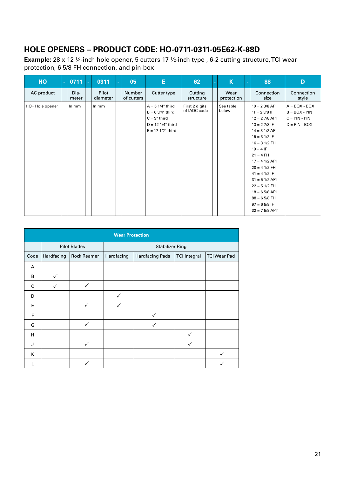#### **HOLE OPENERS – PRODUCT CODE: HO-0711-0311-05E62-K-88D**

**Example:** 28 x 12 ¼-inch hole opener, 5 cutters 17 1/2-inch type, 6-2 cutting structure, TCI wear protection, 6 5/8 FH connection, and pin-box

| HO              | ÷. | 0711          | Гe I | 0311              | 05                   | E                                                                                                               | 62                             | $\sim$ | K                  | $\sim$ | 88                                                                                                                                                                                                                                                                                                                                                              | D                                                                        |
|-----------------|----|---------------|------|-------------------|----------------------|-----------------------------------------------------------------------------------------------------------------|--------------------------------|--------|--------------------|--------|-----------------------------------------------------------------------------------------------------------------------------------------------------------------------------------------------------------------------------------------------------------------------------------------------------------------------------------------------------------------|--------------------------------------------------------------------------|
| AC product      |    | Dia-<br>meter |      | Pilot<br>diameter | Number<br>of cutters | Cutter type                                                                                                     | Cutting<br>structure           |        | Wear<br>protection |        | Connection<br>size                                                                                                                                                                                                                                                                                                                                              | Connection<br>style                                                      |
| HO= Hole opener |    | $ln$ mm       |      | In mm             |                      | $A = 5$ 1/4" third<br>$B = 63/4$ " third<br>$C = 9"$ third<br>$D = 12$ 1/4" third<br>$E = 17 \frac{1}{2}$ third | First 2 digits<br>of IADC code |        | See table<br>below |        | $10 = 2 \frac{3}{8}$ API<br>$11 = 2 \frac{3}{8}$ IF<br>$12 = 27/8$ API<br>$13 = 2 \frac{7}{8}$ IF<br>$14 = 31/2$ API<br>$15 = 31/2$ IF<br>$16 = 31/2$ FH<br>$19 = 4$ IF<br>$21 = 4$ FH<br>$17 = 4$ 1/2 API<br>$20 = 4$ 1/2 FH<br>$41 = 41/2$ IF<br>$31 = 51/2$ API<br>$22 = 51/2$ FH<br>$18 = 65/8$ API<br>$88 = 65/8$ FH<br>$97 = 65/8$ IF<br>$32 = 75/8$ API" | $A = BOX - BOX$<br>$B = BOX - PIN$<br>$C = PIN - PIN$<br>$D = PIN - BOX$ |

| <b>Wear Protection</b> |                     |              |                        |                        |                     |                     |  |  |  |
|------------------------|---------------------|--------------|------------------------|------------------------|---------------------|---------------------|--|--|--|
|                        | <b>Pilot Blades</b> |              | <b>Stabilizer Ring</b> |                        |                     |                     |  |  |  |
| Code                   | Hardfacing          | Rock Reamer  | Hardfacing             | <b>Hardfacing Pads</b> | <b>TCI Integral</b> | <b>TCI Wear Pad</b> |  |  |  |
| A                      |                     |              |                        |                        |                     |                     |  |  |  |
| B                      | $\checkmark$        |              |                        |                        |                     |                     |  |  |  |
| C                      | $\checkmark$        | $\checkmark$ |                        |                        |                     |                     |  |  |  |
| D                      |                     |              | $\checkmark$           |                        |                     |                     |  |  |  |
| E                      |                     |              |                        |                        |                     |                     |  |  |  |
| F                      |                     |              |                        | ✓                      |                     |                     |  |  |  |
| G                      |                     | ✓            |                        |                        |                     |                     |  |  |  |
| H                      |                     |              |                        |                        | ✓                   |                     |  |  |  |
| J                      |                     | $\checkmark$ |                        |                        | ✓                   |                     |  |  |  |
| K                      |                     |              |                        |                        |                     |                     |  |  |  |
|                        |                     |              |                        |                        |                     |                     |  |  |  |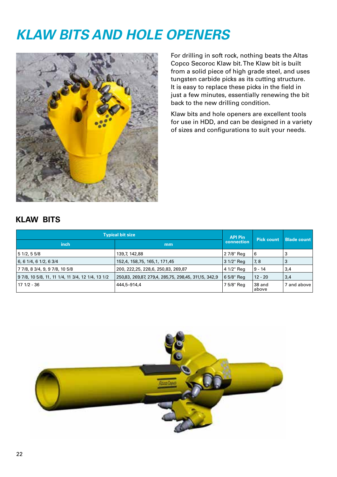### *KLAW BITS AND HOLE OPENERS*



For drilling in soft rock, nothing beats the Altas Copco Secoroc Klaw bit. The Klaw bit is built from a solid piece of high grade steel, and uses tungsten carbide picks as its cutting structure. It is easy to replace these picks in the field in just a few minutes, essentially renewing the bit back to the new drilling condition.

Klaw bits and hole openers are excellent tools for use in HDD, and can be designed in a variety of sizes and configurations to suit your needs.

#### **KLAW BITS**

| <b>Typical bit size</b>                           | <b>API Pin</b>                                       | Pick count |                 |                    |
|---------------------------------------------------|------------------------------------------------------|------------|-----------------|--------------------|
| inch                                              | mm                                                   | connection |                 | <b>Blade count</b> |
| 51/2, 55/8                                        | 139,7, 142,88                                        | 2 7/8" Reg | 6               | 3                  |
| $6, 6$ 1/4, 6 1/2, 6 3/4                          | 152,4, 158,75, 165,1, 171,45                         | 3 1/2" Reg | 7, 8            | 3                  |
| 7 7/8, 8 3/4, 9, 9 7/8, 10 5/8                    | 200, 222, 25, 228, 6, 250, 83, 269, 87               | 4 1/2" Reg | $9 - 14$        | 3,4                |
| 9 7/8, 10 5/8, 11, 11 1/4, 11 3/4, 12 1/4, 13 1/2 | 250,83, 269,87, 279,4, 285,75, 298,45, 311,15, 342,9 | 6 5/8" Reg | $12 - 20$       | 3,4                |
| 17 1/2 - 36                                       | 444,5-914,4                                          | 7 5/8" Reg | 38 and<br>above | 7 and above        |

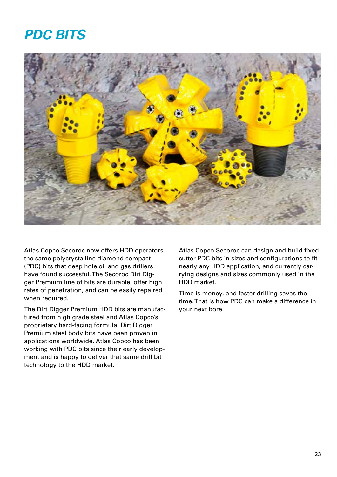### *PDC BITS*



Atlas Copco Secoroc now offers HDD operators the same polycrystalline diamond compact (PDC) bits that deep hole oil and gas drillers have found successful. The Secoroc Dirt Digger Premium line of bits are durable, offer high rates of penetration, and can be easily repaired when required.

The Dirt Digger Premium HDD bits are manufactured from high grade steel and Atlas Copco's proprietary hard-facing formula. Dirt Digger Premium steel body bits have been proven in applications worldwide. Atlas Copco has been working with PDC bits since their early development and is happy to deliver that same drill bit technology to the HDD market.

Atlas Copco Secoroc can design and build fixed cutter PDC bits in sizes and configurations to fit nearly any HDD application, and currently carrying designs and sizes commonly used in the HDD market.

Time is money, and faster drilling saves the time. That is how PDC can make a difference in your next bore.